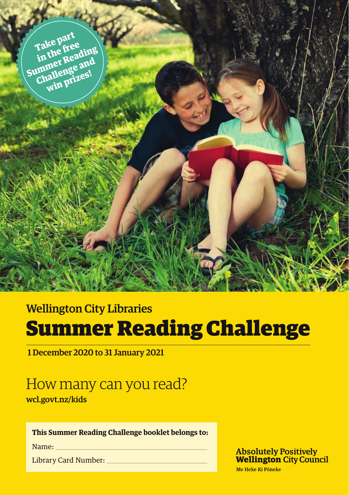

## Wellington City Libraries Summer Reading Challenge

1 December 2020 to 31 January 2021

# How many can you read?

wcl.govt.nz/kids

#### **This Summer Reading Challenge booklet belongs to:**

Name:

Library Card Number:

**Absolutely Positively Wellington City Council** 

Me Heke Ki Põneke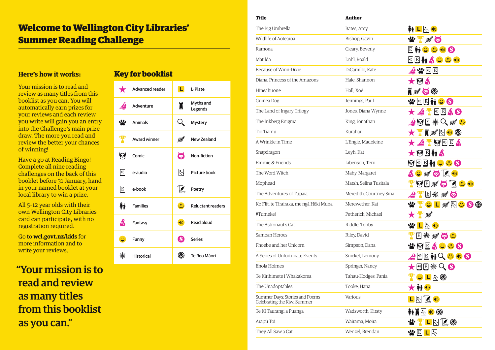## Welcome to Wellington City Libraries' Summer Reading Challenge

### **Here's how it works:**

Your mission is to read and review as many titles from this booklist as you can. You will automatically earn prizes for your reviews and each review you write will gain you an entry into the Challenge's main prize draw. The more you read and review the better your chances of winning!

Have a go at Reading Bingo! Complete all nine reading challenges on the back of this booklet before 31 January, hand in your named booklet at your local library to win a prize.

All 5–12 year olds with their own Wellington City Libraries card can participate, with no registration required.

Go to **wcl.govt.nz/kids** for more information and to write your reviews.

"Your mission is to read and review as many titles from this booklist as you can."

## Key for booklist



| Title                                                         | <b>Author</b>           |                                                                                       |
|---------------------------------------------------------------|-------------------------|---------------------------------------------------------------------------------------|
| The Big Umbrella                                              | Bates, Amy              | 新工民の                                                                                  |
| Wildlife of Aotearoa                                          | Bishop, Gavin           | 医白                                                                                    |
| Ramona                                                        | Cleary, Beverly         | ĥì<br>$\mathbf{C}$<br>$\bigcirc$<br>E<br>$\mathbf{C}$                                 |
| Matilda                                                       | Dahl, Roald             | <b>MACCO</b><br>E<br> ∢)                                                              |
| Because of Winn-Dixie                                         | DiCamillo, Kate         | $\mathbf{v}$ $\boxdot$ $\boxdot$                                                      |
| Diana. Princess of the Amazons                                | Hale, Shannon           | M                                                                                     |
| Hineahuone                                                    | Hall, Xoë               | ▌ᄣ<br>$\bullet$                                                                       |
| Guinea Dog                                                    | Jennings, Paul          | E<br>Ø<br>$\ket{\blacklozenge}$                                                       |
| The Land of Ingary Trilogy                                    | Jones, Diana Wynne      | $\lvert \Phi \rangle$ E<br>4 O                                                        |
| The Inkberg Enigma                                            | King, Jonathan          | $\boxed{\mathrm{E}}$<br>$\mathbb{R}$<br>Ø<br>藥                                        |
| Tio Tiamu                                                     | Kurahau                 | $\bowtie$<br>◉<br>▌ᄣ                                                                  |
| A Wrinkle in Time                                             | L'Engle, Madeleine      | <b>PUEA</b>                                                                           |
| Snapdragon                                                    | Leyh, Kat               | $\bigstar$ 0 $\Box$ ma                                                                |
| Emmie & Friends                                               | Libenson. Terri         | 9 ® E<br><b>ĦUÜ6</b>                                                                  |
| The Word Witch                                                | Mahy, Margaret          | $\ddot{\bm{c}}$ $\mathbb{R}^*$<br><b>O</b> 1<br>$\left( \left  \cdot \right  \right)$ |
| Mophead                                                       | Marsh, Selina Tusitala  | $\boxed{\mathrm{E}}$<br>偏<br>風心も<br>M<br>Ø                                            |
| The Adventures of Tupaia                                      | Meredith, Courtney Sina | <b>滋气的</b><br>回                                                                       |
| Ko Flit, te Tirairaka, me ngā Hēki Muna                       | Merewether, Kat         | C<br>L N & C O                                                                        |
| #Tumeke!                                                      | Petherick, Michael      | 燻                                                                                     |
| The Astronaut's Cat                                           | Riddle, Tohby           | $\boxtimes$<br>WL<br>$\left  \left  \right  \right $                                  |
| Samoan Heroes                                                 | Riley, David            | $\mathbb{E}$<br>※ №、◎                                                                 |
| Phoebe and her Unicorn                                        | Simpson, Dana           | ふと<br>E<br>Ø                                                                          |
| A Series of Unfortunate Events                                | Snicket, Lemony         | $Q \oplus \oplus Q$<br>$\mathbb E$<br>$\ket{\blacklozenge}$                           |
| Enola Holmes                                                  | Springer, Nancy         | $\circledcirc$ E<br>激                                                                 |
| Te Kirihimete i Whakakorea                                    | Tahau-Hodges, Pania     | v<br>YCLR®                                                                            |
| The Unadoptables                                              | Tooke, Hana             | 大新妙                                                                                   |
| Summer Days: Stories and Poems<br>Celebrating the Kiwi Summer | Various                 | $\begin{array}{c} \blacksquare \boxtimes \boxtimes \bullet \end{array}$               |
| Te Kī Taurangi a Puanga                                       | Wadsworth, Kirsty       | <b>ĦN</b>                                                                             |
| Arapū Toi                                                     | Wairama, Moira          | <b>₩¥L</b> RZ⊙                                                                        |
| They All Saw a Cat                                            | Wenzel, Brendan         | <b>WELR</b>                                                                           |